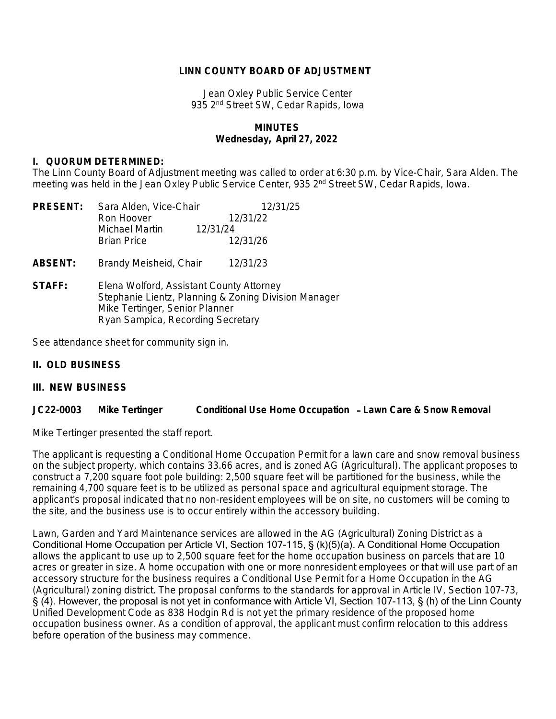### **LINN COUNTY BOARD OF ADJUSTMENT**

Jean Oxley Public Service Center 935 2nd Street SW, Cedar Rapids, Iowa

## **MINUTES Wednesday, April 27, 2022**

#### **I. QUORUM DETERMINED:**

The Linn County Board of Adjustment meeting was called to order at 6:30 p.m. by Vice-Chair, Sara Alden. The meeting was held in the Jean Oxley Public Service Center, 935 2<sup>nd</sup> Street SW, Cedar Rapids, Iowa.

| <b>PRESENT:</b> | Sara Alden, Vice-Chair                                                                                                                                                  | 12/31/25 |
|-----------------|-------------------------------------------------------------------------------------------------------------------------------------------------------------------------|----------|
|                 | Ron Hoover                                                                                                                                                              | 12/31/22 |
|                 | 12/31/24<br>Michael Martin                                                                                                                                              |          |
|                 | <b>Brian Price</b>                                                                                                                                                      | 12/31/26 |
| <b>ABSENT:</b>  | Brandy Meisheid, Chair                                                                                                                                                  | 12/31/23 |
| <b>STAFF:</b>   | Elena Wolford, Assistant County Attorney<br>Stephanie Lientz, Planning & Zoning Division Manager<br>Mike Tertinger, Senior Planner<br>Ryan Sampica, Recording Secretary |          |

See attendance sheet for community sign in.

## **II. OLD BUSINESS**

#### **III. NEW BUSINESS**

#### **JC22-0003 Mike Tertinger Conditional Use Home Occupation** – **Lawn Care & Snow Removal**

Mike Tertinger presented the staff report.

The applicant is requesting a Conditional Home Occupation Permit for a lawn care and snow removal business on the subject property, which contains 33.66 acres, and is zoned AG (Agricultural). The applicant proposes to construct a 7,200 square foot pole building: 2,500 square feet will be partitioned for the business, while the remaining 4,700 square feet is to be utilized as personal space and agricultural equipment storage. The applicant's proposal indicated that no non-resident employees will be on site, no customers will be coming to the site, and the business use is to occur entirely within the accessory building.

Lawn, Garden and Yard Maintenance services are allowed in the AG (Agricultural) Zoning District as a Conditional Home Occupation per Article VI, Section 107-115, § (k)(5)(a). A Conditional Home Occupation allows the applicant to use up to 2,500 square feet for the home occupation business on parcels that are 10 acres or greater in size. A home occupation with one or more nonresident employees or that will use part of an accessory structure for the business requires a Conditional Use Permit for a Home Occupation in the AG (Agricultural) zoning district. The proposal conforms to the standards for approval in Article IV, Section 107-73, § (4). However, the proposal is not yet in conformance with Article VI, Section 107-113, § (h) of the Linn County Unified Development Code as 838 Hodgin Rd is not yet the primary residence of the proposed home occupation business owner. As a condition of approval, the applicant must confirm relocation to this address before operation of the business may commence.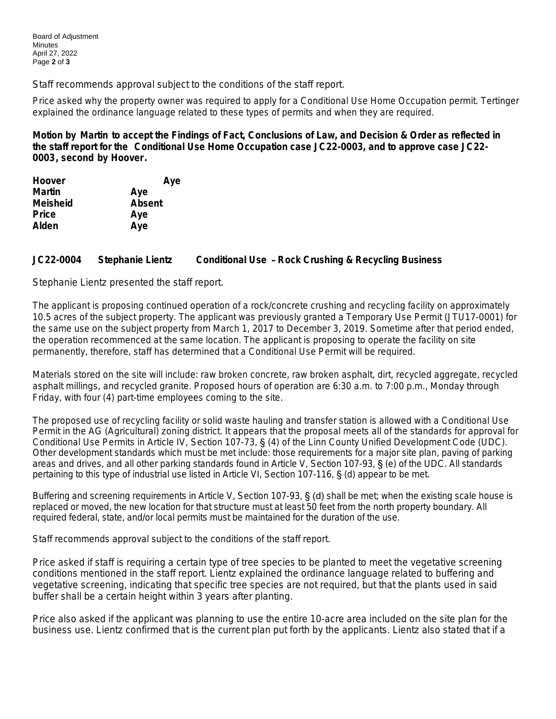Staff recommends approval subject to the conditions of the staff report.

Price asked why the property owner was required to apply for a Conditional Use Home Occupation permit. Tertinger explained the ordinance language related to these types of permits and when they are required.

**Motion by Martin to accept the Findings of Fact, Conclusions of Law, and Decision & Order as reflected in the staff report for the Conditional Use Home Occupation case JC22-0003, and to approve case JC22- 0003, second by Hoover.** 

| Aye           |
|---------------|
| Aye           |
| <b>Absent</b> |
| Aye           |
| Aye           |
|               |

# **JC22-0004 Stephanie Lientz Conditional Use** – **Rock Crushing & Recycling Business**

Stephanie Lientz presented the staff report.

The applicant is proposing continued operation of a rock/concrete crushing and recycling facility on approximately 10.5 acres of the subject property. The applicant was previously granted a Temporary Use Permit (JTU17-0001) for the same use on the subject property from March 1, 2017 to December 3, 2019. Sometime after that period ended, the operation recommenced at the same location. The applicant is proposing to operate the facility on site permanently, therefore, staff has determined that a Conditional Use Permit will be required.

Materials stored on the site will include: raw broken concrete, raw broken asphalt, dirt, recycled aggregate, recycled asphalt millings, and recycled granite. Proposed hours of operation are 6:30 a.m. to 7:00 p.m., Monday through Friday, with four (4) part-time employees coming to the site.

The proposed use of recycling facility or solid waste hauling and transfer station is allowed with a Conditional Use Permit in the AG (Agricultural) zoning district. It appears that the proposal meets all of the standards for approval for Conditional Use Permits in Article IV, Section 107-73, § (4) of the Linn County Unified Development Code (UDC). Other development standards which must be met include: those requirements for a major site plan, paving of parking areas and drives, and all other parking standards found in Article V, Section 107-93, § (e) of the UDC. All standards pertaining to this type of industrial use listed in Article VI, Section 107-116, § (d) appear to be met.

Buffering and screening requirements in Article V. Section 107-93, **§ (d)** shall be met; when the existing scale house is replaced or moved, the new location for that structure must at least 50 feet from the north property boundary. All required federal, state, and/or local permits must be maintained for the duration of the use.

Staff recommends approval subject to the conditions of the staff report.

Price asked if staff is requiring a certain type of tree species to be planted to meet the vegetative screening conditions mentioned in the staff report. Lientz explained the ordinance language related to buffering and vegetative screening, indicating that specific tree species are not required, but that the plants used in said buffer shall be a certain height within 3 years after planting.

Price also asked if the applicant was planning to use the entire 10-acre area included on the site plan for the business use. Lientz confirmed that is the current plan put forth by the applicants. Lientz also stated that if a